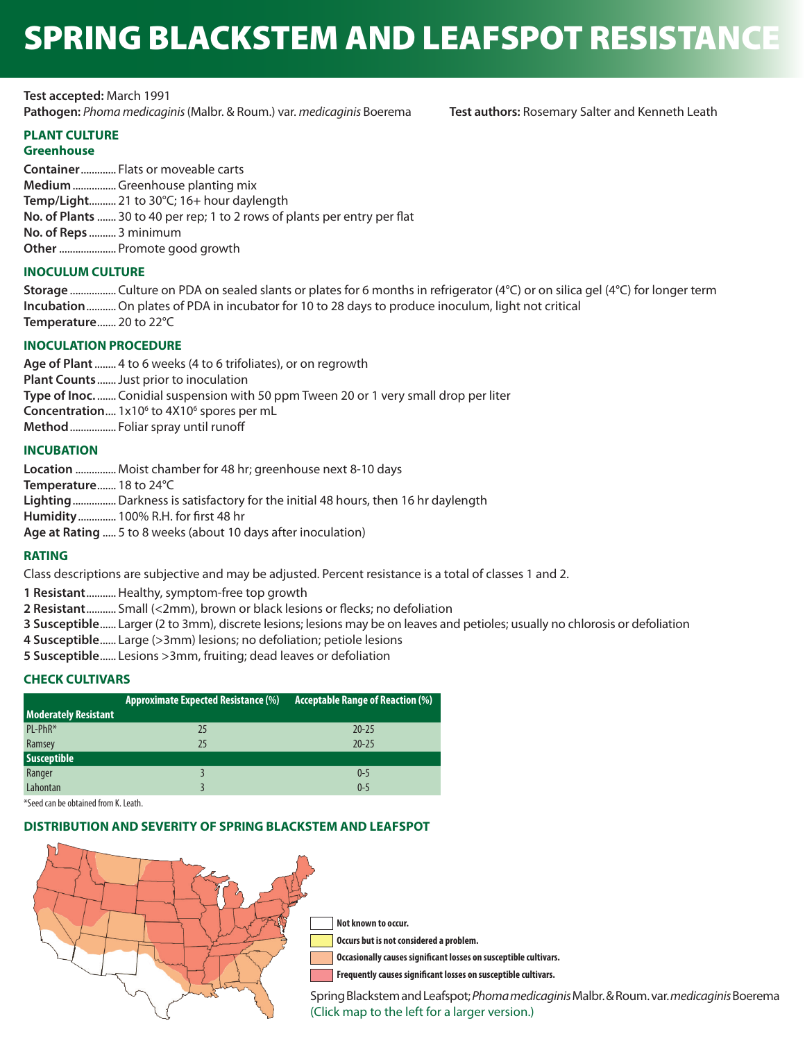# SPRING BLACKSTEM AND LEAFSPOT RESISTANCE

**Test accepted:** March 1991 **Pathogen:** *Phoma medicaginis* (Malbr. & Roum.) var. *medicaginis* Boerema **Test authors:** Rosemary Salter and Kenneth Leath

# **PLANT CULTURE**

# **Greenhouse**

**Container**............. Flats or moveable carts **Medium**................ Greenhouse planting mix **Temp/Light**.......... 21 to 30°C; 16+ hour daylength **No. of Plants** ....... 30 to 40 per rep; 1 to 2 rows of plants per entry per flat **No. of Reps** .......... 3 minimum **Other**..................... Promote good growth

# **INOCULUM CULTURE**

**Storage** ................. Culture on PDA on sealed slants or plates for 6 months in refrigerator (4°C) or on silica gel (4°C) for longer term **Incubation**...........On plates of PDA in incubator for 10 to 28 days to produce inoculum, light not critical **Temperature**....... 20 to 22°C

# **INOCULATION PROCEDURE**

**Age of Plant** ........ 4 to 6 weeks (4 to 6 trifoliates), or on regrowth **Plant Counts** .......Just prior to inoculation **Type of Inoc.** ....... Conidial suspension with 50 ppm Tween 20 or 1 very small drop per liter **Concentration....** 1x10<sup>6</sup> to 4X10<sup>6</sup> spores per mL **Method** ................. Foliar spray until runoff

# **INCUBATION**

**Location** ............... Moist chamber for 48 hr; greenhouse next 8-10 days **Temperature**....... 18 to 24°C **Lighting**................Darkness is satisfactory for the initial 48 hours, then 16 hr daylength **Humidity**.............. 100% R.H. for first 48 hr **Age at Rating** ..... 5 to 8 weeks (about 10 days after inoculation)

# **RATING**

Class descriptions are subjective and may be adjusted. Percent resistance is a total of classes 1 and 2.

**1 Resistant**...........Healthy, symptom-free top growth

- **2 Resistant**........... Small (<2mm), brown or black lesions or flecks; no defoliation
- **3 Susceptible**...... Larger (2 to 3mm), discrete lesions; lesions may be on leaves and petioles; usually no chlorosis or defoliation
- **4 Susceptible**...... Large (>3mm) lesions; no defoliation; petiole lesions
- **5 Susceptible**...... Lesions >3mm, fruiting; dead leaves or defoliation

# **CHECK CULTIVARS**

|                             | <b>Approximate Expected Resistance (%)</b> | <b>Acceptable Range of Reaction (%)</b> |
|-----------------------------|--------------------------------------------|-----------------------------------------|
| <b>Moderately Resistant</b> |                                            |                                         |
| PL-PhR*                     | 25                                         | $20 - 25$                               |
| Ramsey                      | 25                                         | $20 - 25$                               |
| <b>Susceptible</b>          |                                            |                                         |
| Ranger                      |                                            | $0 - 5$                                 |
| Lahontan                    |                                            | $0 - 5$                                 |

\*Seed can be obtained from K. Leath.

### **DISTRIBUTION AND SEVERITY OF SPRING BLACKSTEM AND LEAFSPOT**



[Sp](https://naaic.org/stdtests/updated/maps/Spring-Blackstem-and-Leafspot.png)ring Blackstem and Leafspot; *Phoma medicaginis* Malbr. & Roum. var. *medicaginis* Boerema (Click map to the left for a larger version.)